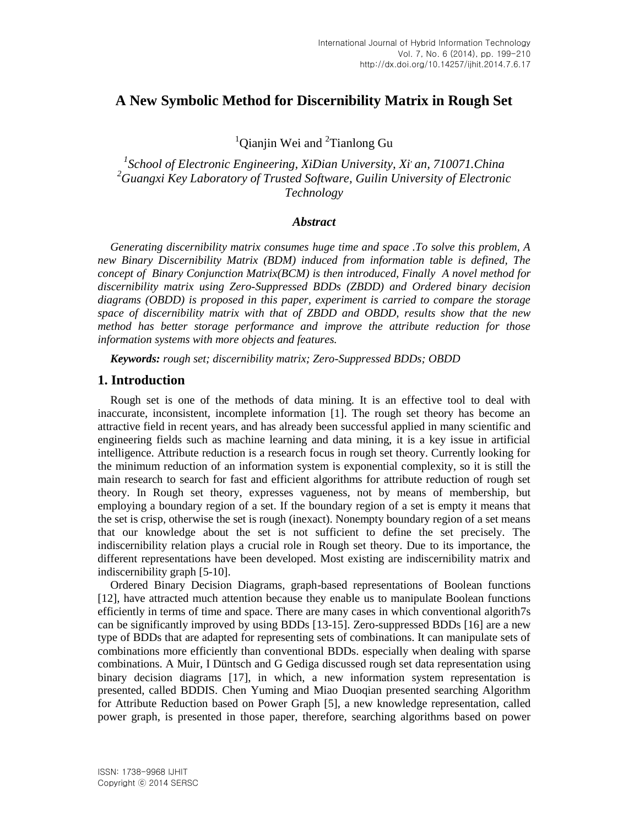# **A New Symbolic Method for Discernibility Matrix in Rough Set**

<sup>1</sup>Qianjin Wei and <sup>2</sup>Tianlong Gu

<sup>1</sup> School of Electronic Engineering, XiDian University, Xi<sup>*, an, 710071.China*</sup> *<sup>2</sup>Guangxi Key Laboratory of Trusted Software, Guilin University of Electronic Technology*

### *Abstract*

*Generating discernibility matrix consumes huge time and space .To solve this problem, A new Binary Discernibility Matrix (BDM) induced from information table is defined, The concept of Binary Conjunction Matrix(BCM) is then introduced, Finally A novel method for discernibility matrix using Zero-Suppressed BDDs (ZBDD) and Ordered binary decision diagrams (OBDD) is proposed in this paper, experiment is carried to compare the storage space of discernibility matrix with that of ZBDD and OBDD, results show that the new method has better storage performance and improve the attribute reduction for those information systems with more objects and features.*

*Keywords: rough set; discernibility matrix; Zero-Suppressed BDDs; OBDD*

### **1. Introduction**

Rough set is one of the methods of data mining. It is an effective tool to deal with inaccurate, inconsistent, incomplete information [1]. The rough set theory has become an attractive field in recent years, and has already been successful applied in many scientific and engineering fields such as machine learning and data mining, it is a key issue in artificial intelligence. Attribute reduction is a research focus in rough set theory. Currently looking for the minimum reduction of an information system is exponential complexity, so it is still the main research to search for fast and efficient algorithms for attribute reduction of rough set theory. In Rough set theory, expresses vagueness, not by means of membership, but employing a boundary region of a set. If the boundary region of a set is empty it means that the set is crisp, otherwise the set is rough (inexact). Nonempty boundary region of a set means that our knowledge about the set is not sufficient to define the set precisely. The indiscernibility relation plays a crucial role in Rough set theory. Due to its importance, the different representations have been developed. Most existing are indiscernibility matrix and indiscernibility graph [5-10].

Ordered Binary Decision Diagrams, graph-based representations of Boolean functions [12], have attracted much attention because they enable us to manipulate Boolean functions efficiently in terms of time and space. There are many cases in which conventional algorith7s can be significantly improved by using BDDs [13-15]. Zero-suppressed BDDs [16] are a new type of BDDs that are adapted for representing sets of combinations. It can manipulate sets of combinations more efficiently than conventional BDDs. especially when dealing with sparse combinations. A Muir, I Düntsch and G Gediga discussed rough set data representation using binary decision diagrams [17], in which, a new information system representation is presented, called BDDIS. Chen Yuming and Miao Duoqian presented searching Algorithm for Attribute Reduction based on Power Graph [5], a new knowledge representation, called power graph, is presented in those paper, therefore, searching algorithms based on power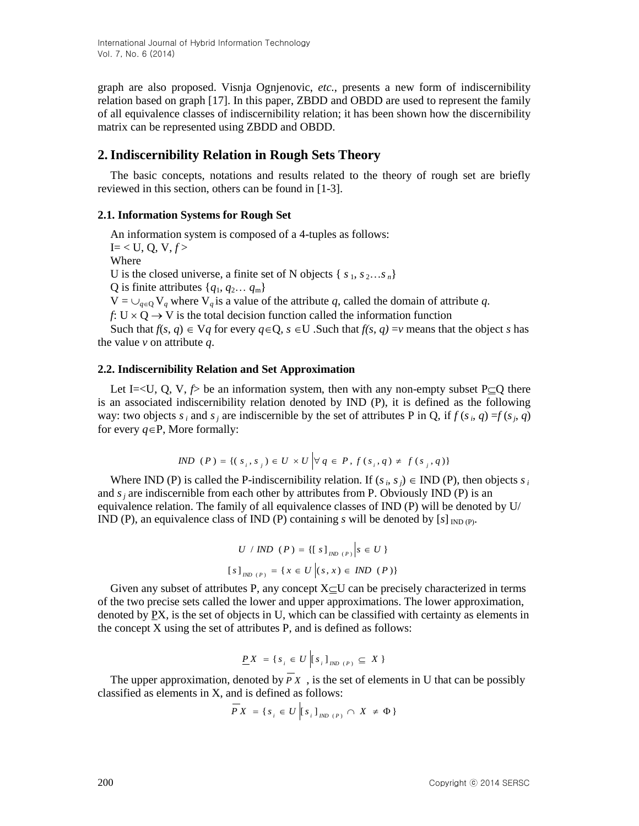graph are also proposed. Visnja Ognjenovic, *etc.*, presents a new form of indiscernibility relation based on graph [17]. In this paper, ZBDD and OBDD are used to represent the family of all equivalence classes of indiscernibility relation; it has been shown how the discernibility matrix can be represented using ZBDD and OBDD.

# **2.Indiscernibility Relation in Rough Sets Theory**

The basic concepts, notations and results related to the theory of rough set are briefly reviewed in this section, others can be found in [1-3].

## **2.1. Information Systems for Rough Set**

An information system is composed of a 4-tuples as follows:  $I = < U$ , Q, V,  $f >$ Where U is the closed universe, a finite set of N objects  $\{s_1, s_2...s_n\}$ Q is finite attributes  $\{q_1, q_2, \ldots, q_m\}$  $V = \bigcup_{q \in Q} V_q$  where  $V_q$  is a value of the attribute *q*, called the domain of attribute *q*. *f*:  $U \times Q \rightarrow V$  is the total decision function called the information function

Such that  $f(s, q) \in Vq$  for every  $q \in \mathbb{Q}$ ,  $s \in \mathbb{U}$ . Such that  $f(s, q) = v$  means that the object *s* has the value *v* on attribute *q*.

### **2.2. Indiscernibility Relation and Set Approximation**

Let I=<U, Q, V,  $\hat{p}$  be an information system, then with any non-empty subset P $\subseteq$ Q there is an associated indiscernibility relation denoted by IND (P), it is defined as the following way: two objects  $s_i$  and  $s_j$  are indiscernible by the set of attributes P in Q, if  $f(s_i, q) = f(s_j, q)$ for every  $q \in P$ , More formally:

$$
IND (P) = \{ (s_i, s_j) \in U \times U \mid \forall q \in P, f(s_i, q) \neq f(s_j, q) \}
$$

Where IND (P) is called the P-indiscernibility relation. If  $(s_i, s_j) \in \text{IND}$  (P), then objects  $s_i$ and  $s_j$  are indiscernible from each other by attributes from P. Obviously IND (P) is an equivalence relation. The family of all equivalence classes of IND (P) will be denoted by U/ IND (P), an equivalence class of IND (P) containing *s* will be denoted by  $[s]_{N\text{D}(P)}$ .

$$
U / IND (P) = \{ [s]_{IND (P)} | s \in U \}
$$
  

$$
[s]_{IND (P)} = \{ x \in U | (s, x) \in IND (P) \}
$$

Given any subset of attributes P, any concept  $X\subset U$  can be precisely characterized in terms of the two precise sets called the lower and upper approximations. The lower approximation, denoted by PX, is the set of objects in U, which can be classified with certainty as elements in the concept X using the set of attributes P, and is defined as follows:

$$
\underline{P}X = \{ s_i \in U \mid [s_i]_{\text{IND (P)}} \subseteq X \}
$$

The upper approximation, denoted by  $P X$ , is the set of elements in U that can be possibly classified as elements in X, and is defined as follows:

$$
PX = \{ s_i \in U \left[ s_i \right]_{IND \ (P)} \cap X \neq \Phi \}
$$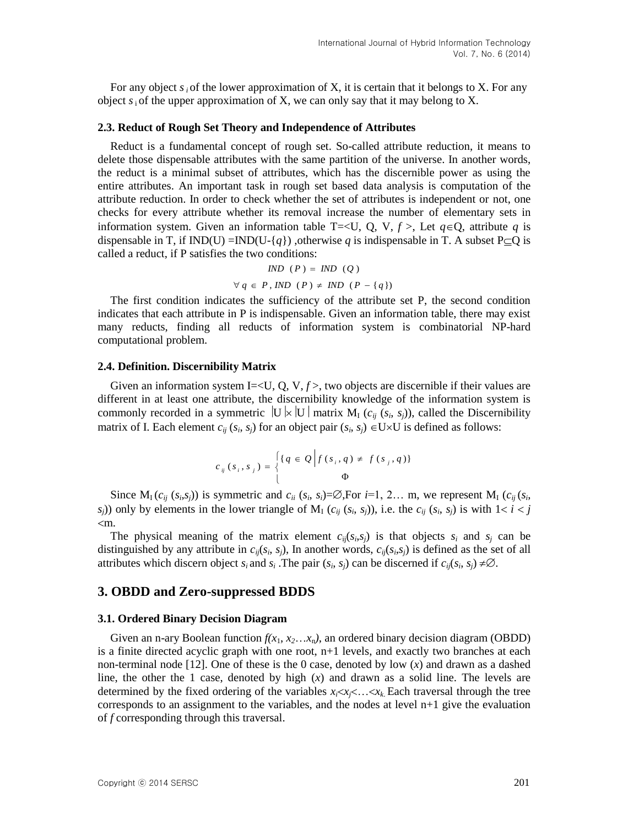For any object  $s_i$  of the lower approximation of X, it is certain that it belongs to X. For any object  $s_i$  of the upper approximation of X, we can only say that it may belong to X.

#### **2.3. Reduct of Rough Set Theory and Independence of Attributes**

Reduct is a fundamental concept of rough set. So-called attribute reduction, it means to delete those dispensable attributes with the same partition of the universe. In another words, the reduct is a minimal subset of attributes, which has the discernible power as using the entire attributes. An important task in rough set based data analysis is computation of the attribute reduction. In order to check whether the set of attributes is independent or not, one checks for every attribute whether its removal increase the number of elementary sets in information system. Given an information table T=<U, Q, V,  $f >$ , Let  $q \in Q$ , attribute q is dispensable in T, if IND(U) =IND(U-{*q*}), otherwise *q* is indispensable in T. A subset P $\subseteq$ Q is called a reduct, if P satisfies the two conditions:

$$
IND (P) = IND (Q)
$$
  

$$
\forall q \in P, IND (P) \neq IND (P - \{q\})
$$

The first condition indicates the sufficiency of the attribute set P, the second condition indicates that each attribute in P is indispensable. Given an information table, there may exist many reducts, finding all reducts of information system is combinatorial NP-hard computational problem.

#### **2.4. Definition. Discernibility Matrix**

Given an information system I=<U, Q, V,  $f$  >, two objects are discernible if their values are different in at least one attribute, the discernibility knowledge of the information system is commonly recorded in a symmetric  $|U| \times |U|$  matrix  $M_I$  ( $c_{ij}$  ( $s_i$ ,  $s_j$ )), called the Discernibility matrix of I. Each element  $c_{ij}$  ( $s_i$ ,  $s_j$ ) for an object pair ( $s_i$ ,  $s_j$ )  $\in U \times U$  is defined as follows:

$$
c_{ij}(s_i, s_j) = \begin{cases} \{q \in \mathcal{Q} \mid f(s_i, q) \neq f(s_j, q) \} \\ 0 \end{cases}
$$

Since  $M_i(c_{ij}(s_i,s_j))$  is symmetric and  $c_{ii}(s_i,s_i) = \emptyset$ , For  $i=1, 2...$  m, we represent  $M_i(c_{ij}(s_i, s_i))$ *s*<sub>*j*</sub>)) only by elements in the lower triangle of  $M_I$  ( $c_{ij}$  ( $s_i$ ,  $s_j$ )), i.e. the  $c_{ij}$  ( $s_i$ ,  $s_j$ ) is with  $1 < i < j$ m.

The physical meaning of the matrix element  $c_{ij}(s_i,s_j)$  is that objects  $s_i$  and  $s_j$  can be distinguished by any attribute in  $c_{ij}(s_i, s_j)$ , In another words,  $c_{ij}(s_i, s_j)$  is defined as the set of all attributes which discern object  $s_i$  and  $s_i$ . The pair  $(s_i, s_j)$  can be discerned if  $c_{ij}(s_i, s_j) \neq \emptyset$ .

#### **3. OBDD and Zero-suppressed BDDS**

#### **3.1. Ordered Binary Decision Diagram**

Given an n-ary Boolean function  $f(x_1, x_2...x_n)$ , an ordered binary decision diagram (OBDD) is a finite directed acyclic graph with one root, n+1 levels, and exactly two branches at each non-terminal node [12]. One of these is the 0 case, denoted by low (*x*) and drawn as a dashed line, the other the 1 case, denoted by high (*x*) and drawn as a solid line. The levels are determined by the fixed ordering of the variables  $x_i \lt x_i \lt ... \lt x_k$ . Each traversal through the tree corresponds to an assignment to the variables, and the nodes at level  $n+1$  give the evaluation of *f* corresponding through this traversal.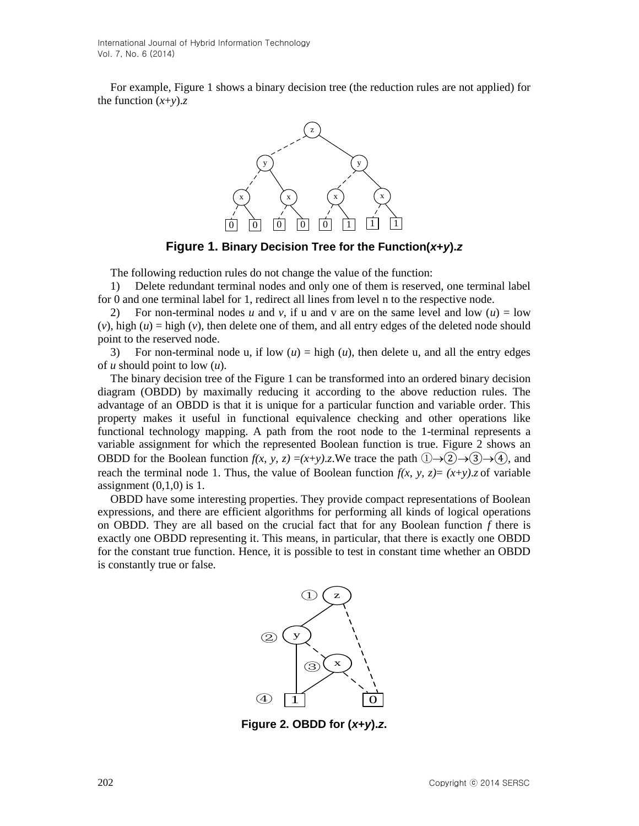For example, Figure 1 shows a binary decision tree (the reduction rules are not applied) for the function  $(x+y)$ .*z* 



**Figure 1. Binary Decision Tree for the Function(***x***+***y***).***z*

The following reduction rules do not change the value of the function:

1) Delete redundant terminal nodes and only one of them is reserved, one terminal label for 0 and one terminal label for 1, redirect all lines from level n to the respective node.

2) For non-terminal nodes *u* and *v*, if u and *v* are on the same level and low  $(u) = \text{low}$  $(v)$ , high  $(u)$  = high  $(v)$ , then delete one of them, and all entry edges of the deleted node should point to the reserved node.

3) For non-terminal node u, if low  $(u)$  = high  $(u)$ , then delete u, and all the entry edges of *u* should point to low (*u*).

The binary decision tree of the Figure 1 can be transformed into an ordered binary decision diagram (OBDD) by maximally reducing it according to the above reduction rules. The advantage of an OBDD is that it is unique for a particular function and variable order. This property makes it useful in functional equivalence checking and other operations like functional technology mapping. A path from the root node to the 1-terminal represents a variable assignment for which the represented Boolean function is true. Figure 2 shows an OBDD for the Boolean function  $f(x, y, z) = (x+y)z$ . We trace the path  $(1) \rightarrow (2) \rightarrow (3) \rightarrow (4)$ , and reach the terminal node 1. Thus, the value of Boolean function  $f(x, y, z) = (x+y)z$  of variable assignment  $(0,1,0)$  is 1.

OBDD have some interesting properties. They provide compact representations of Boolean expressions, and there are efficient algorithms for performing all kinds of logical operations on OBDD. They are all based on the crucial fact that for any Boolean function *f* there is exactly one OBDD representing it. This means, in particular, that there is exactly one OBDD for the constant true function. Hence, it is possible to test in constant time whether an OBDD is constantly true or false.



**Figure 2. OBDD for (***x***+***y***).***z***.**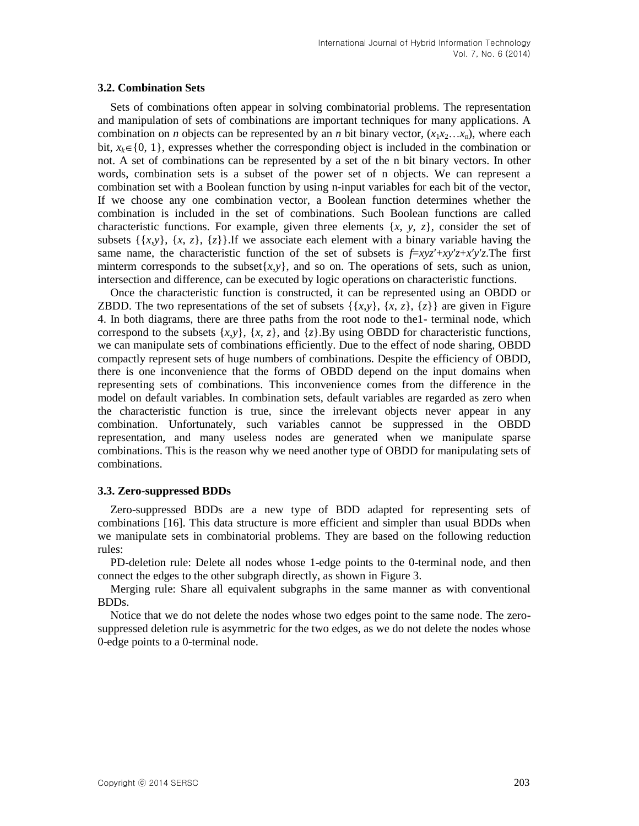#### **3.2. Combination Sets**

Sets of combinations often appear in solving combinatorial problems. The representation and manipulation of sets of combinations are important techniques for many applications. A combination on *n* objects can be represented by an *n* bit binary vector,  $(x_1x_2...x_n)$ , where each bit,  $x_k \in \{0, 1\}$ , expresses whether the corresponding object is included in the combination or not. A set of combinations can be represented by a set of the n bit binary vectors. In other words, combination sets is a subset of the power set of n objects. We can represent a combination set with a Boolean function by using n-input variables for each bit of the vector, If we choose any one combination vector, a Boolean function determines whether the combination is included in the set of combinations. Such Boolean functions are called characteristic functions. For example, given three elements  $\{x, y, z\}$ , consider the set of subsets  $\{\{x,y\},\{x,z\},\{z\}\}\$ .If we associate each element with a binary variable having the same name, the characteristic function of the set of subsets is  $f=xyz'+xy'z+x'y'z$ . The first minterm corresponds to the subset $\{x,y\}$ , and so on. The operations of sets, such as union, intersection and difference, can be executed by logic operations on characteristic functions.

Once the characteristic function is constructed, it can be represented using an OBDD or ZBDD. The two representations of the set of subsets  $\{\{x,y\},\{x,z\},\{z\}\}\$ are given in Figure 4. In both diagrams, there are three paths from the root node to the1- terminal node, which correspond to the subsets  $\{x,y\}$ ,  $\{x,z\}$ , and  $\{z\}$ .By using OBDD for characteristic functions, we can manipulate sets of combinations efficiently. Due to the effect of node sharing, OBDD compactly represent sets of huge numbers of combinations. Despite the efficiency of OBDD, there is one inconvenience that the forms of OBDD depend on the input domains when representing sets of combinations. This inconvenience comes from the difference in the model on default variables. In combination sets, default variables are regarded as zero when the characteristic function is true, since the irrelevant objects never appear in any combination. Unfortunately, such variables cannot be suppressed in the OBDD representation, and many useless nodes are generated when we manipulate sparse combinations. This is the reason why we need another type of OBDD for manipulating sets of combinations.

### **3.3. Zero-suppressed BDDs**

Zero-suppressed BDDs are a new type of BDD adapted for representing sets of combinations [16]. This data structure is more efficient and simpler than usual BDDs when we manipulate sets in combinatorial problems. They are based on the following reduction rules:

PD-deletion rule: Delete all nodes whose 1-edge points to the 0-terminal node, and then connect the edges to the other subgraph directly, as shown in Figure 3.

Merging rule: Share all equivalent subgraphs in the same manner as with conventional BDDs.

Notice that we do not delete the nodes whose two edges point to the same node. The zerosuppressed deletion rule is asymmetric for the two edges, as we do not delete the nodes whose 0-edge points to a 0-terminal node.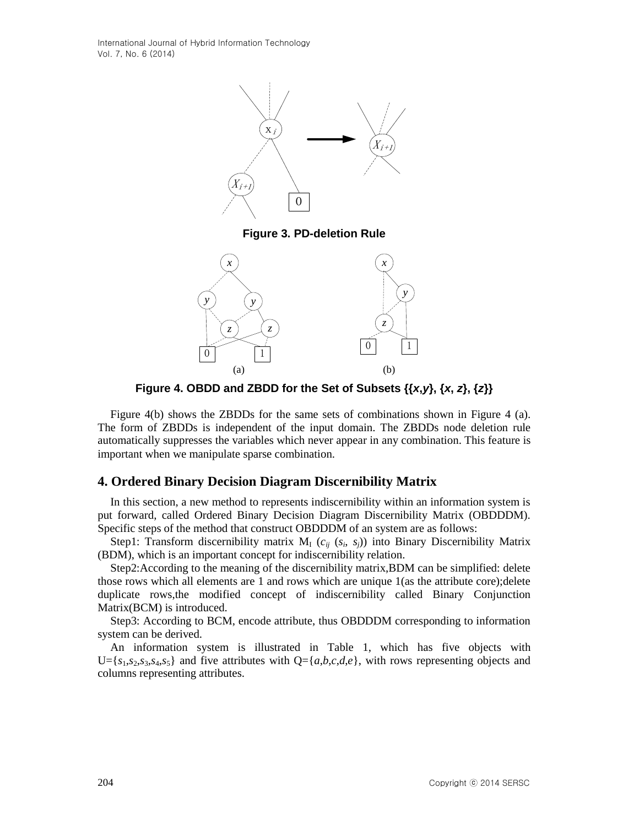International Journal of Hybrid Information Technology Vol. 7, No. 6 (2014)



**Figure 3. PD-deletion Rule**



**Figure 4. OBDD and ZBDD for the Set of Subsets {{***x***,***y***}, {***x***,** *z***}, {***z***}}**

Figure 4(b) shows the ZBDDs for the same sets of combinations shown in Figure 4 (a). The form of ZBDDs is independent of the input domain. The ZBDDs node deletion rule automatically suppresses the variables which never appear in any combination. This feature is important when we manipulate sparse combination.

# **4. Ordered Binary Decision Diagram Discernibility Matrix**

In this section, a new method to represents indiscernibility within an information system is put forward, called Ordered Binary Decision Diagram Discernibility Matrix (OBDDDM). Specific steps of the method that construct OBDDDM of an system are as follows:

Step1: Transform discernibility matrix  $M_I$  ( $c_{ij}$  ( $s_i$ ,  $s_j$ )) into Binary Discernibility Matrix (BDM), which is an important concept for indiscernibility relation.

Step2:According to the meaning of the discernibility matrix,BDM can be simplified: delete those rows which all elements are 1 and rows which are unique 1(as the attribute core);delete duplicate rows,the modified concept of indiscernibility called Binary Conjunction Matrix(BCM) is introduced.

Step3: According to BCM, encode attribute, thus OBDDDM corresponding to information system can be derived.

An information system is illustrated in Table 1, which has five objects with  $U = \{s_1, s_2, s_3, s_4, s_5\}$  and five attributes with  $Q = \{a, b, c, d, e\}$ , with rows representing objects and columns representing attributes.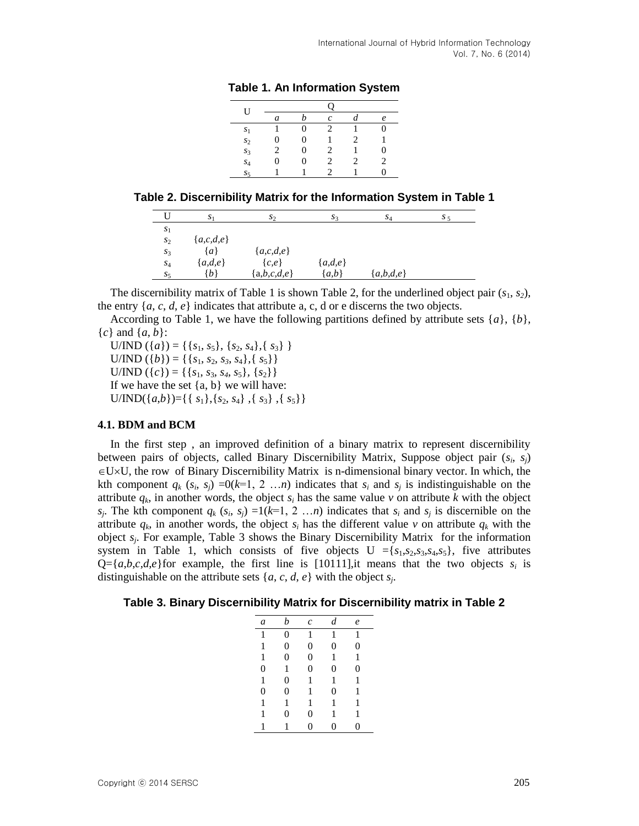| U              |   |   |                               |   |   |
|----------------|---|---|-------------------------------|---|---|
|                | a |   | c                             |   | e |
| S <sub>1</sub> |   | 0 | $\mathfrak{D}$                |   | 0 |
| s <sub>2</sub> | 0 | 0 |                               | 2 |   |
| s <sub>3</sub> | 2 | 0 | $\mathfrak{D}_{\mathfrak{p}}$ |   | 0 |
| $S_4$          | 0 | 0 | 2                             | 2 | 2 |
| $S_5$          |   |   | 2                             |   | 0 |
|                |   |   |                               |   |   |

**Table 1. An Information System**

|                | S <sub>1</sub> | $S_{2}$       | $s_{3}$   | $S_4$       | S <sub>5</sub> |
|----------------|----------------|---------------|-----------|-------------|----------------|
| $S_1$          |                |               |           |             |                |
| s <sub>2</sub> | ${a,c,d,e}$    |               |           |             |                |
| s <sub>3</sub> | $\{a\}$        | ${a,c,d,e}$   |           |             |                |
| $S_4$          | ${a,d,e}$      | $\{c,e\}$     | ${a,d,e}$ |             |                |
| $S_5$          | {b}            | ${a,b,c,d,e}$ | ${a,b}$   | ${a,b,d,e}$ |                |

The discernibility matrix of Table 1 is shown Table 2, for the underlined object pair  $(s_1, s_2)$ , the entry  $\{a, c, d, e\}$  indicates that attribute a, c, d or e discerns the two objects.

According to Table 1, we have the following partitions defined by attribute sets {*a*}, {*b*}, {*c*} and {*a*, *b*}:

 $U/IND (\{a\}) = {\{s_1, s_5\}, \{s_2, s_4\}, \{s_3\}}$  $U/IND (\{b\}) = {\{s_1, s_2, s_3, s_4\}, \{s_5\}}$  $U/IND (\lbrace c \rbrace) = {\lbrace s_1, s_3, s_4, s_5 \rbrace, \lbrace s_2 \rbrace}$ If we have the set  $\{a, b\}$  we will have:  $U/IND({a,b})=\{ { s_1}, {s_2}, {s_4}, {s_3}, {s_5} \}$ 

## **4.1. BDM and BCM**

In the first step , an improved definition of a binary matrix to represent discernibility between pairs of objects, called Binary Discernibility Matrix, Suppose object pair (*s<sup>i</sup>* , *sj*)  $\in U\times U$ , the row of Binary Discernibility Matrix is n-dimensional binary vector. In which, the kth component  $q_k$  ( $s_i$ ,  $s_j$ ) =0( $k=1, 2 \ldots n$ ) indicates that  $s_i$  and  $s_j$  is indistinguishable on the attribute  $q_k$ , in another words, the object  $s_i$  has the same value  $\nu$  on attribute  $k$  with the object *s*<sub>*j*</sub>. The kth component  $q_k$  ( $s_i$ ,  $s_j$ ) =1( $k=1, 2, \ldots n$ ) indicates that  $s_i$  and  $s_j$  is discernible on the attribute  $q_k$ , in another words, the object  $s_i$  has the different value  $\nu$  on attribute  $q_k$  with the object *s<sup>j</sup>* . For example, Table 3 shows the Binary Discernibility Matrix for the information system in Table 1, which consists of five objects  $U = {s_1, s_2, s_3, s_4, s_5}$ , five attributes  $Q = \{a,b,c,d,e\}$  for example, the first line is [10111], it means that the two objects  $s_i$  is distinguishable on the attribute sets  $\{a, c, d, e\}$  with the object  $s_j$ .

**Table 3. Binary Discernibility Matrix for Discernibility matrix in Table 2**

| a | b | $\mathcal{C}_{0}^{2}$ | d | e |
|---|---|-----------------------|---|---|
| 1 | 0 | 1                     | 1 | 1 |
| 1 | 0 | 0                     | 0 | 0 |
| 1 | 0 | 0                     | 1 | 1 |
| 0 | 1 | 0                     | 0 | 0 |
| 1 | 0 | 1                     | 1 | 1 |
| 0 | 0 | 1                     | 0 | 1 |
| 1 | 1 | 1                     | 1 | 1 |
| 1 | 0 | 0                     | 1 | 1 |
| 1 | 1 | 0                     | 0 | 0 |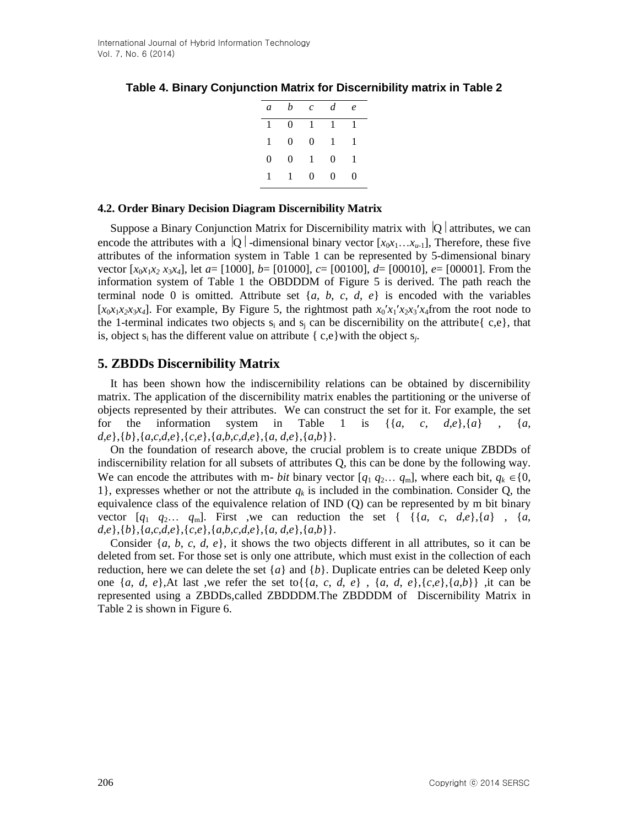| a            | $\boldsymbol{b}$ | $c$ d        |              | $\epsilon$ |
|--------------|------------------|--------------|--------------|------------|
| $\mathbf{1}$ | $\Omega$         | $-1$ $-1$    |              | 1          |
| 1            | 0                | $\theta$     | $\mathbf{1}$ | 1          |
| 0            | 0                | $\mathbf{1}$ | $\theta$     | 1          |
| 1            | $\mathbf{1}$     | $\Omega$     | 0            | 0          |

# **Table 4. Binary Conjunction Matrix for Discernibility matrix in Table 2**

### **4.2. Order Binary Decision Diagram Discernibility Matrix**

Suppose a Binary Conjunction Matrix for Discernibility matrix with  $|Q|$  attributes, we can encode the attributes with a  $|Q|$ -dimensional binary vector  $[x_0x_1...x_{u-1}]$ , Therefore, these five attributes of the information system in Table 1 can be represented by 5-dimensional binary vector  $[x_0x_1x_2 \ x_3x_4]$ , let  $a = [1000]$ ,  $b = [01000]$ ,  $c = [00100]$ ,  $d = [00010]$ ,  $e = [00001]$ . From the information system of Table 1 the OBDDDM of Figure 5 is derived. The path reach the terminal node 0 is omitted. Attribute set  $\{a, b, c, d, e\}$  is encoded with the variables  $[x_0x_1x_2x_3x_4]$ . For example, By Figure 5, the rightmost path  $x_0/x_1/x_2x_3/x_4$  from the root node to the 1-terminal indicates two objects  $s_i$  and  $s_i$  can be discernibility on the attribute  $\{c,e\}$ , that is, object  $s_i$  has the different value on attribute { $c,e$ } with the object  $s_j$ .

# **5. ZBDDs Discernibility Matrix**

It has been shown how the indiscernibility relations can be obtained by discernibility matrix. The application of the discernibility matrix enables the partitioning or the universe of objects represented by their attributes. We can construct the set for it. For example, the set for the information system in Table 1 is  $\{\{a, c, d, e\}, \{a\}$ ,  $\{a, \{a, c, d, e\}\}$ *d*,*e*},{*b*},{*a*,*c*,*d*,*e*},{*c*,*e*},{*a*,*b*,*c*,*d*,*e*},{*a*, *d*,*e*},{*a*,*b*}}.

On the foundation of research above, the crucial problem is to create unique ZBDDs of indiscernibility relation for all subsets of attributes Q, this can be done by the following way. We can encode the attributes with m- *bit* binary vector  $[q_1 q_2... q_m]$ , where each bit,  $q_k \in \{0,$ 1}, expresses whether or not the attribute  $q_k$  is included in the combination. Consider Q, the equivalence class of the equivalence relation of IND (Q) can be represented by m bit binary vector  $[q_1 \ q_2 \ldots \ q_m]$ . First ,we can reduction the set  $\{ \{ \{a, c, d, e\}, \{a\}, \{a, c, d, e\} \}$ *d*,*e*},{*b*},{*a*,*c*,*d*,*e*},{*c*,*e*},{*a*,*b*,*c*,*d*,*e*},{*a*, *d*,*e*},{*a*,*b*}}.

Consider {*a*, *b*, *c*, *d*, *e*}, it shows the two objects different in all attributes, so it can be deleted from set. For those set is only one attribute, which must exist in the collection of each reduction, here we can delete the set  $\{a\}$  and  $\{b\}$ . Duplicate entries can be deleted Keep only one  $\{a, d, e\}$ , At last ,we refer the set to  $\{\{a, c, d, e\}, \{a, d, e\}, \{c, e\}, \{a, b\}\}\$ , it can be represented using a ZBDDs,called ZBDDDM.The ZBDDDM of Discernibility Matrix in Table 2 is shown in Figure 6.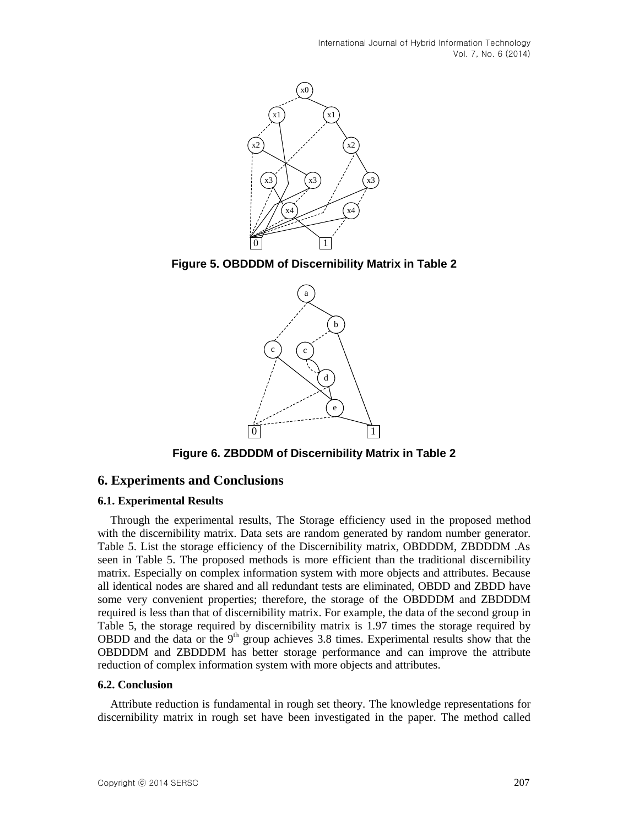International Journal of Hybrid Information Technology Vol. 7, No. 6 (2014)



**Figure 5. OBDDDM of Discernibility Matrix in Table 2**



**Figure 6. ZBDDDM of Discernibility Matrix in Table 2**

### **6. Experiments and Conclusions**

#### **6.1. Experimental Results**

Through the experimental results, The Storage efficiency used in the proposed method with the discernibility matrix. Data sets are random generated by random number generator. Table 5. List the storage efficiency of the Discernibility matrix, OBDDDM, ZBDDDM .As seen in Table 5. The proposed methods is more efficient than the traditional discernibility matrix. Especially on complex information system with more objects and attributes. Because all identical nodes are shared and all redundant tests are eliminated, OBDD and ZBDD have some very convenient properties; therefore, the storage of the OBDDDM and ZBDDDM required is less than that of discernibility matrix. For example, the data of the second group in Table 5, the storage required by discernibility matrix is 1.97 times the storage required by OBDD and the data or the  $9<sup>th</sup>$  group achieves 3.8 times. Experimental results show that the OBDDDM and ZBDDDM has better storage performance and can improve the attribute reduction of complex information system with more objects and attributes.

#### **6.2. Conclusion**

Attribute reduction is fundamental in rough set theory. The knowledge representations for discernibility matrix in rough set have been investigated in the paper. The method called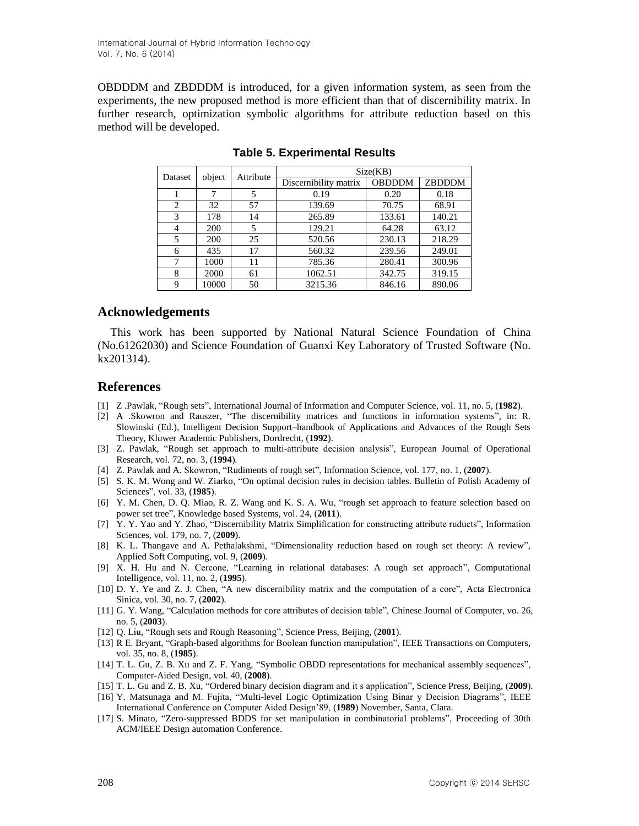OBDDDM and ZBDDDM is introduced, for a given information system, as seen from the experiments, the new proposed method is more efficient than that of discernibility matrix. In further research, optimization symbolic algorithms for attribute reduction based on this method will be developed.

| Dataset        | object | Attribute | Size(KB)              |               |        |  |
|----------------|--------|-----------|-----------------------|---------------|--------|--|
|                |        |           | Discernibility matrix | <b>OBDDDM</b> | ZBDDDM |  |
|                |        |           | 0.19                  | 0.20          | 0.18   |  |
| $\overline{c}$ | 32     | 57        | 139.69                | 70.75         | 68.91  |  |
| 3              | 178    | 14        | 265.89                | 133.61        | 140.21 |  |
| 4              | 200    | 5         | 129.21                | 64.28         | 63.12  |  |
| 5              | 200    | 25        | 520.56                | 230.13        | 218.29 |  |
| 6              | 435    | 17        | 560.32                | 239.56        | 249.01 |  |
| 7              | 1000   | 11        | 785.36                | 280.41        | 300.96 |  |
| 8              | 2000   | 61        | 1062.51               | 342.75        | 319.15 |  |
| 9              | 10000  | 50        | 3215.36               | 846.16        | 890.06 |  |

**Table 5. Experimental Results**

# **Acknowledgements**

This work has been supported by National Natural Science Foundation of China (No.61262030) and Science Foundation of Guanxi Key Laboratory of Trusted Software (No. kx201314).

# **References**

- [1] Z .Pawlak, "Rough sets", International Journal of Information and Computer Science, vol. 11, no. 5, (**1982**).
- [2] A .Skowron and Rauszer, "The discernibility matrices and functions in information systems", in: R. Slowinski (Ed.), Intelligent Decision Support–handbook of Applications and Advances of the Rough Sets Theory, Kluwer Academic Publishers, Dordrecht, (**1992**).
- [3] Z. Pawlak, "Rough set approach to multi-attribute decision analysis", European Journal of Operational Research, vol. 72, no. 3, (**1994**).
- [4] Z. Pawlak and A. Skowron, "Rudiments of rough set", Information Science, vol. 177, no. 1, (**2007**).
- [5] S. K. M. Wong and W. Ziarko, "On optimal decision rules in decision tables. Bulletin of Polish Academy of Sciences", vol. 33, (**1985**).
- [6] Y. M. Chen, D. Q. Miao, R. Z. Wang and K. S. A. Wu, "rough set approach to feature selection based on power set tree", Knowledge based Systems, vol. 24, (**2011**).
- [7] Y. Y. Yao and Y. Zhao, "Discernibility Matrix Simplification for constructing attribute ruducts", Information Sciences, vol. 179, no. 7, (**2009**).
- [8] K. L. Thangave and A. Pethalakshmi, "Dimensionality reduction based on rough set theory: A review", Applied Soft Computing, vol. 9, (**2009**).
- [9] X. H. Hu and N. Cercone, "Learning in relational databases: A rough set approach", Computational Intelligence, vol. 11, no. 2, (**1995**).
- [10] D. Y. Ye and Z. J. Chen, "A new discernibility matrix and the computation of a core", Acta Electronica Sinica, vol. 30, no. 7, (**2002**).
- [11] G. Y. Wang, "Calculation methods for core attributes of decision table", Chinese Journal of Computer, vo. 26, no. 5, (**2003**).
- [12] Q. Liu, "Rough sets and Rough Reasoning", Science Press, Beijing, (**2001**).
- [13] R E. Bryant, "Graph-based algorithms for Boolean function manipulation", IEEE Transactions on Computers, vol. 35, no. 8, (**1985**).
- [14] T. L. Gu, Z. B. Xu and Z. F. Yang, "Symbolic OBDD representations for mechanical assembly sequences", Computer-Aided Design, vol. 40, (**2008**).
- [15] T. L. Gu and Z. B. Xu, "Ordered binary decision diagram and it s application", Science Press, Beijing, (**2009**).
- [16] Y. Matsunaga and M. Fujita, "Multi-level Logic Optimization Using Binar y Decision Diagrams", IEEE International Conference on Computer Aided Design'89, (**1989**) November, Santa, Clara.
- [17] S. Minato, "Zero-suppressed BDDS for set manipulation in combinatorial problems", Proceeding of 30th ACM/IEEE Design automation Conference.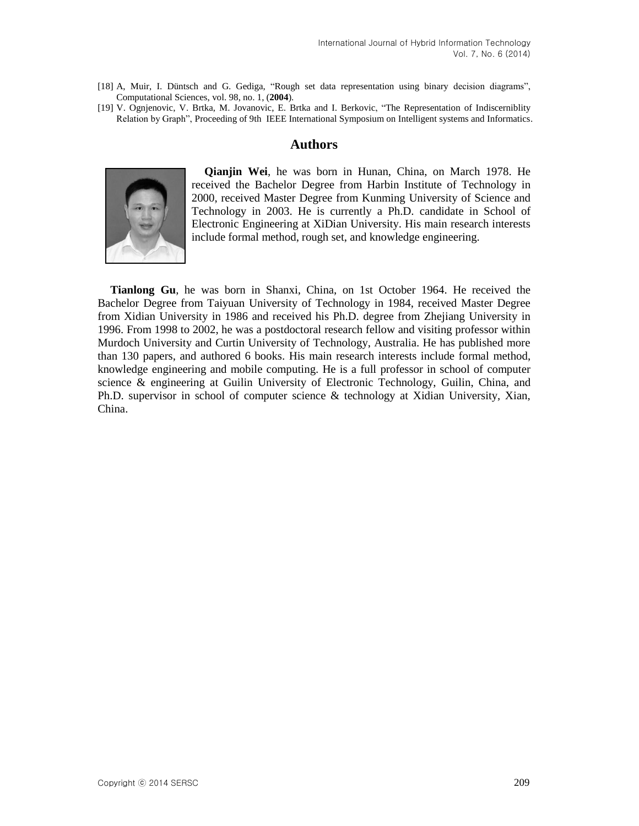- [18] A, Muir, I. Düntsch and G. Gediga, "Rough set data representation using binary decision diagrams", Computational Sciences, vol. 98, no. 1, (**2004**).
- [19] V. Ognjenovic, V. Brtka, M. Jovanovic, E. Brtka and I. Berkovic, "The Representation of Indiscerniblity Relation by Graph", Proceeding of 9th IEEE International Symposium on Intelligent systems and Informatics.

# **Authors**



**Qianjin Wei**, he was born in Hunan, China, on March 1978. He received the Bachelor Degree from Harbin Institute of Technology in 2000, received Master Degree from Kunming University of Science and Technology in 2003. He is currently a Ph.D. candidate in School of Electronic Engineering at XiDian University. His main research interests include formal method, rough set, and knowledge engineering.

**Tianlong Gu**, he was born in Shanxi, China, on 1st October 1964. He received the Bachelor Degree from Taiyuan University of Technology in 1984, received Master Degree from Xidian University in 1986 and received his Ph.D. degree from Zhejiang University in 1996. From 1998 to 2002, he was a postdoctoral research fellow and visiting professor within Murdoch University and Curtin University of Technology, Australia. He has published more than 130 papers, and authored 6 books. His main research interests include formal method, knowledge engineering and mobile computing. He is a full professor in school of computer science & engineering at Guilin University of Electronic Technology, Guilin, China, and Ph.D. supervisor in school of computer science & technology at Xidian University, Xian, China.